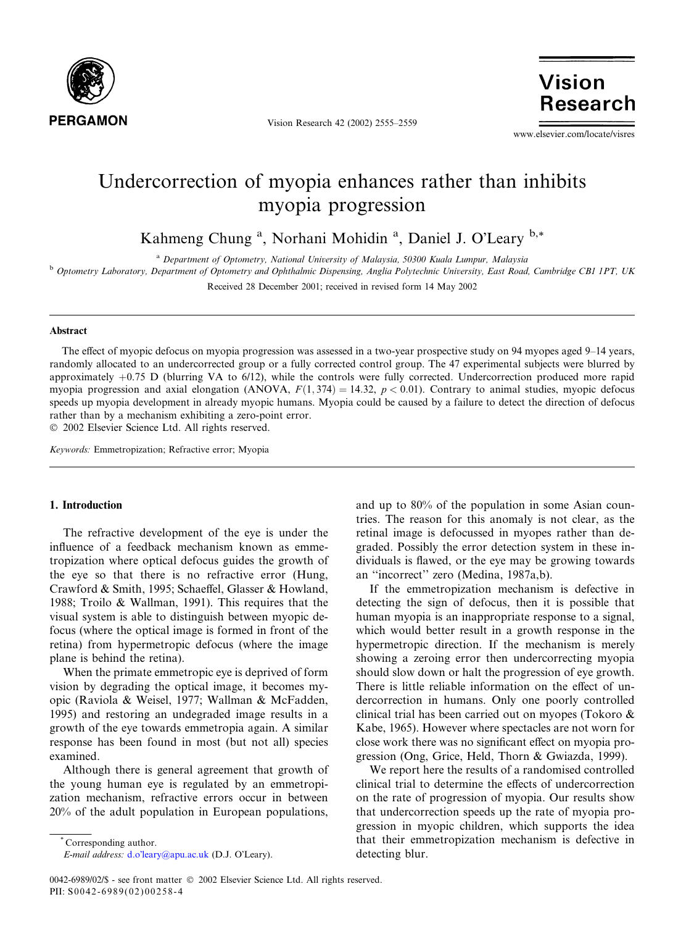

Vision Research 42 (2002) 2555–2559

**Vision Research** 

www.elsevier.com/locate/visres

# Undercorrection of myopia enhances rather than inhibits myopia progression

Kahmeng Chung<sup>a</sup>, Norhani Mohidin<sup>a</sup>, Daniel J. O'Leary<sup>b,\*</sup>

<sup>a</sup> Department of Optometry, National University of Malaysia, 50300 Kuala Lumpur, Malaysia

<sup>b</sup> Optometry Laboratory, Department of Optometry and Ophthalmic Dispensing, Anglia Polytechnic University, East Road, Cambridge CB1 1PT, UK Received 28 December 2001; received in revised form 14 May 2002

#### Abstract

The effect of myopic defocus on myopia progression was assessed in a two-year prospective study on 94 myopes aged 9–14 years, randomly allocated to an undercorrected group or a fully corrected control group. The 47 experimental subjects were blurred by approximately  $+0.75$  D (blurring VA to  $6/12$ ), while the controls were fully corrected. Undercorrection produced more rapid myopia progression and axial elongation (ANOVA,  $F(1,374) = 14.32$ ,  $p < 0.01$ ). Contrary to animal studies, myopic defocus speeds up myopia development in already myopic humans. Myopia could be caused by a failure to detect the direction of defocus rather than by a mechanism exhibiting a zero-point error. 2002 Elsevier Science Ltd. All rights reserved.

Keywords: Emmetropization; Refractive error; Myopia

# 1. Introduction

The refractive development of the eye is under the influence of a feedback mechanism known as emmetropization where optical defocus guides the growth of the eye so that there is no refractive error (Hung, Crawford & Smith, 1995; Schaeffel, Glasser & Howland, 1988; Troilo & Wallman, 1991). This requires that the visual system is able to distinguish between myopic defocus (where the optical image is formed in front of the retina) from hypermetropic defocus (where the image plane is behind the retina).

When the primate emmetropic eye is deprived of form vision by degrading the optical image, it becomes myopic (Raviola & Weisel, 1977; Wallman & McFadden, 1995) and restoring an undegraded image results in a growth of the eye towards emmetropia again. A similar response has been found in most (but not all) species examined.

Although there is general agreement that growth of the young human eye is regulated by an emmetropization mechanism, refractive errors occur in between 20% of the adult population in European populations,

Corresponding author.

E-mail address: d.o'[leary@apu.ac.uk](mail to: d.o’leary@apu.ac.uk) (D.J. O'Leary).

and up to 80% of the population in some Asian countries. The reason for this anomaly is not clear, as the retinal image is defocussed in myopes rather than degraded. Possibly the error detection system in these individuals is flawed, or the eye may be growing towards an ''incorrect'' zero (Medina, 1987a,b).

If the emmetropization mechanism is defective in detecting the sign of defocus, then it is possible that human myopia is an inappropriate response to a signal, which would better result in a growth response in the hypermetropic direction. If the mechanism is merely showing a zeroing error then undercorrecting myopia should slow down or halt the progression of eye growth. There is little reliable information on the effect of undercorrection in humans. Only one poorly controlled clinical trial has been carried out on myopes (Tokoro & Kabe, 1965). However where spectacles are not worn for close work there was no significant effect on myopia progression (Ong, Grice, Held, Thorn & Gwiazda, 1999).

We report here the results of a randomised controlled clinical trial to determine the effects of undercorrection on the rate of progression of myopia. Our results show that undercorrection speeds up the rate of myopia progression in myopic children, which supports the idea that their emmetropization mechanism is defective in detecting blur.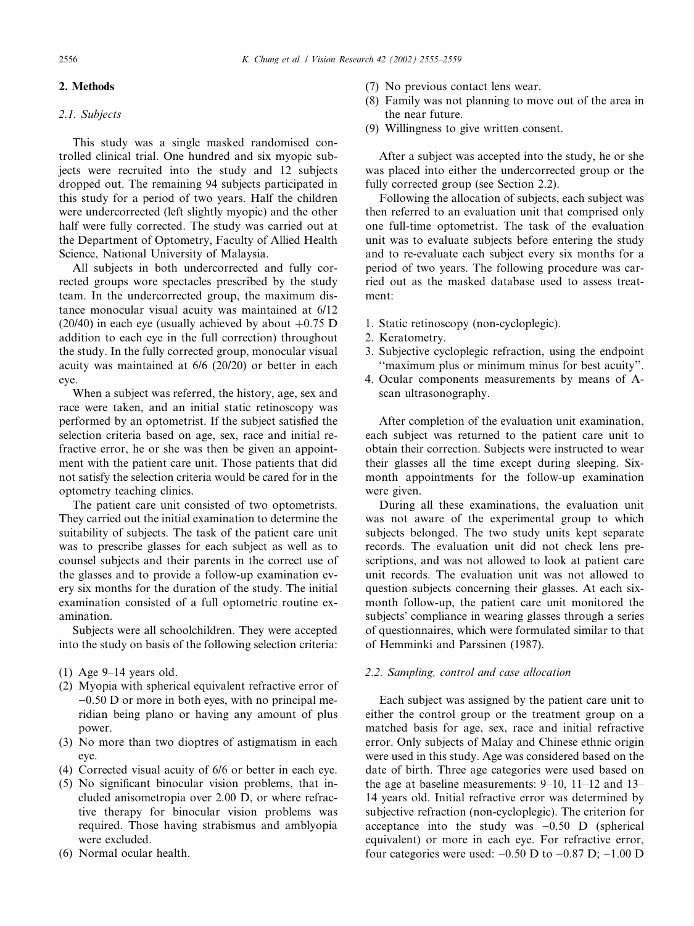## 2. Methods

## 2.1. Subjects

This study was a single masked randomised controlled clinical trial. One hundred and six myopic subjects were recruited into the study and 12 subjects dropped out. The remaining 94 subjects participated in this study for a period of two years. Half the children were undercorrected (left slightly myopic) and the other half were fully corrected. The study was carried out at the Department of Optometry, Faculty of Allied Health Science, National University of Malaysia.

All subjects in both undercorrected and fully corrected groups wore spectacles prescribed by the study team. In the undercorrected group, the maximum distance monocular visual acuity was maintained at 6/12 (20/40) in each eye (usually achieved by about  $+0.75$  D addition to each eye in the full correction) throughout the study. In the fully corrected group, monocular visual acuity was maintained at 6/6 (20/20) or better in each eye.

When a subject was referred, the history, age, sex and race were taken, and an initial static retinoscopy was performed by an optometrist. If the subject satisfied the selection criteria based on age, sex, race and initial refractive error, he or she was then be given an appointment with the patient care unit. Those patients that did not satisfy the selection criteria would be cared for in the optometry teaching clinics.

The patient care unit consisted of two optometrists. They carried out the initial examination to determine the suitability of subjects. The task of the patient care unit was to prescribe glasses for each subject as well as to counsel subjects and their parents in the correct use of the glasses and to provide a follow-up examination every six months for the duration of the study. The initial examination consisted of a full optometric routine examination.

Subjects were all schoolchildren. They were accepted into the study on basis of the following selection criteria:

- (1) Age 9–14 years old.
- (2) Myopia with spherical equivalent refractive error of  $-0.50$  D or more in both eyes, with no principal meridian being plano or having any amount of plus power.
- (3) No more than two dioptres of astigmatism in each eye.
- (4) Corrected visual acuity of 6/6 or better in each eye.
- (5) No significant binocular vision problems, that included anisometropia over 2.00 D, or where refractive therapy for binocular vision problems was required. Those having strabismus and amblyopia were excluded.
- (6) Normal ocular health.
- (7) No previous contact lens wear.
- (8) Family was not planning to move out of the area in the near future.
- (9) Willingness to give written consent.

After a subject was accepted into the study, he or she was placed into either the undercorrected group or the fully corrected group (see Section 2.2).

Following the allocation of subjects, each subject was then referred to an evaluation unit that comprised only one full-time optometrist. The task of the evaluation unit was to evaluate subjects before entering the study and to re-evaluate each subject every six months for a period of two years. The following procedure was carried out as the masked database used to assess treatment:

- 1. Static retinoscopy (non-cycloplegic).
- 2. Keratometry.
- 3. Subjective cycloplegic refraction, using the endpoint ''maximum plus or minimum minus for best acuity''.
- 4. Ocular components measurements by means of Ascan ultrasonography.

After completion of the evaluation unit examination, each subject was returned to the patient care unit to obtain their correction. Subjects were instructed to wear their glasses all the time except during sleeping. Sixmonth appointments for the follow-up examination were given.

During all these examinations, the evaluation unit was not aware of the experimental group to which subjects belonged. The two study units kept separate records. The evaluation unit did not check lens prescriptions, and was not allowed to look at patient care unit records. The evaluation unit was not allowed to question subjects concerning their glasses. At each sixmonth follow-up, the patient care unit monitored the subjects' compliance in wearing glasses through a series of questionnaires, which were formulated similar to that of Hemminki and Parssinen (1987).

# 2.2. Sampling, control and case allocation

Each subject was assigned by the patient care unit to either the control group or the treatment group on a matched basis for age, sex, race and initial refractive error. Only subjects of Malay and Chinese ethnic origin were used in this study. Age was considered based on the date of birth. Three age categories were used based on the age at baseline measurements: 9–10, 11–12 and 13– 14 years old. Initial refractive error was determined by subjective refraction (non-cycloplegic). The criterion for acceptance into the study was  $-0.50$  D (spherical equivalent) or more in each eye. For refractive error, four categories were used:  $-0.50$  D to  $-0.87$  D;  $-1.00$  D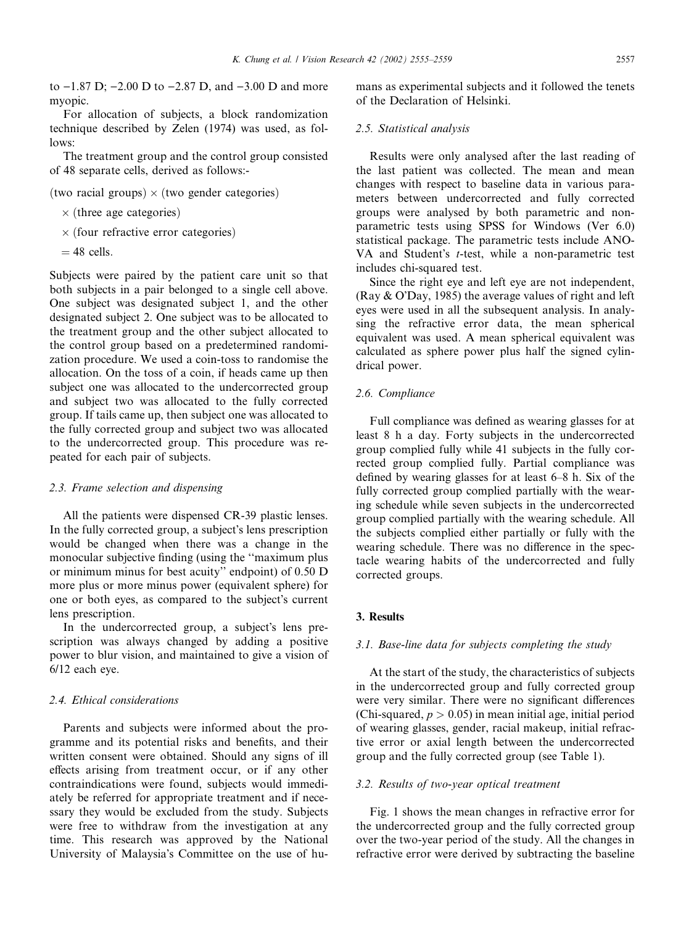to  $-1.87$  D;  $-2.00$  D to  $-2.87$  D, and  $-3.00$  D and more myopic.

For allocation of subjects, a block randomization technique described by Zelen (1974) was used, as follows:

The treatment group and the control group consisted of 48 separate cells, derived as follows:-

(two racial groups)  $\times$  (two gender categories)

- $\times$  (three age categories)
- $\times$  (four refractive error categories)
- $= 48$  cells.

Subjects were paired by the patient care unit so that both subjects in a pair belonged to a single cell above. One subject was designated subject 1, and the other designated subject 2. One subject was to be allocated to the treatment group and the other subject allocated to the control group based on a predetermined randomization procedure. We used a coin-toss to randomise the allocation. On the toss of a coin, if heads came up then subject one was allocated to the undercorrected group and subject two was allocated to the fully corrected group. If tails came up, then subject one was allocated to the fully corrected group and subject two was allocated to the undercorrected group. This procedure was repeated for each pair of subjects.

### 2.3. Frame selection and dispensing

All the patients were dispensed CR-39 plastic lenses. In the fully corrected group, a subject's lens prescription would be changed when there was a change in the monocular subjective finding (using the ''maximum plus or minimum minus for best acuity'' endpoint) of 0.50 D more plus or more minus power (equivalent sphere) for one or both eyes, as compared to the subject's current lens prescription.

In the undercorrected group, a subject's lens prescription was always changed by adding a positive power to blur vision, and maintained to give a vision of 6/12 each eye.

#### 2.4. Ethical considerations

Parents and subjects were informed about the programme and its potential risks and benefits, and their written consent were obtained. Should any signs of ill effects arising from treatment occur, or if any other contraindications were found, subjects would immediately be referred for appropriate treatment and if necessary they would be excluded from the study. Subjects were free to withdraw from the investigation at any time. This research was approved by the National University of Malaysia's Committee on the use of humans as experimental subjects and it followed the tenets of the Declaration of Helsinki.

#### 2.5. Statistical analysis

Results were only analysed after the last reading of the last patient was collected. The mean and mean changes with respect to baseline data in various parameters between undercorrected and fully corrected groups were analysed by both parametric and nonparametric tests using SPSS for Windows (Ver 6.0) statistical package. The parametric tests include ANO-VA and Student's  $t$ -test, while a non-parametric test includes chi-squared test.

Since the right eye and left eye are not independent, (Ray  $& O'Day$ , 1985) the average values of right and left eyes were used in all the subsequent analysis. In analysing the refractive error data, the mean spherical equivalent was used. A mean spherical equivalent was calculated as sphere power plus half the signed cylindrical power.

## 2.6. Compliance

Full compliance was defined as wearing glasses for at least 8 h a day. Forty subjects in the undercorrected group complied fully while 41 subjects in the fully corrected group complied fully. Partial compliance was defined by wearing glasses for at least 6–8 h. Six of the fully corrected group complied partially with the wearing schedule while seven subjects in the undercorrected group complied partially with the wearing schedule. All the subjects complied either partially or fully with the wearing schedule. There was no difference in the spectacle wearing habits of the undercorrected and fully corrected groups.

## 3. Results

### 3.1. Base-line data for subjects completing the study

At the start of the study, the characteristics of subjects in the undercorrected group and fully corrected group were very similar. There were no significant differences (Chi-squared,  $p > 0.05$ ) in mean initial age, initial period of wearing glasses, gender, racial makeup, initial refractive error or axial length between the undercorrected group and the fully corrected group (see Table 1).

## 3.2. Results of two-year optical treatment

Fig. 1 shows the mean changes in refractive error for the undercorrected group and the fully corrected group over the two-year period of the study. All the changes in refractive error were derived by subtracting the baseline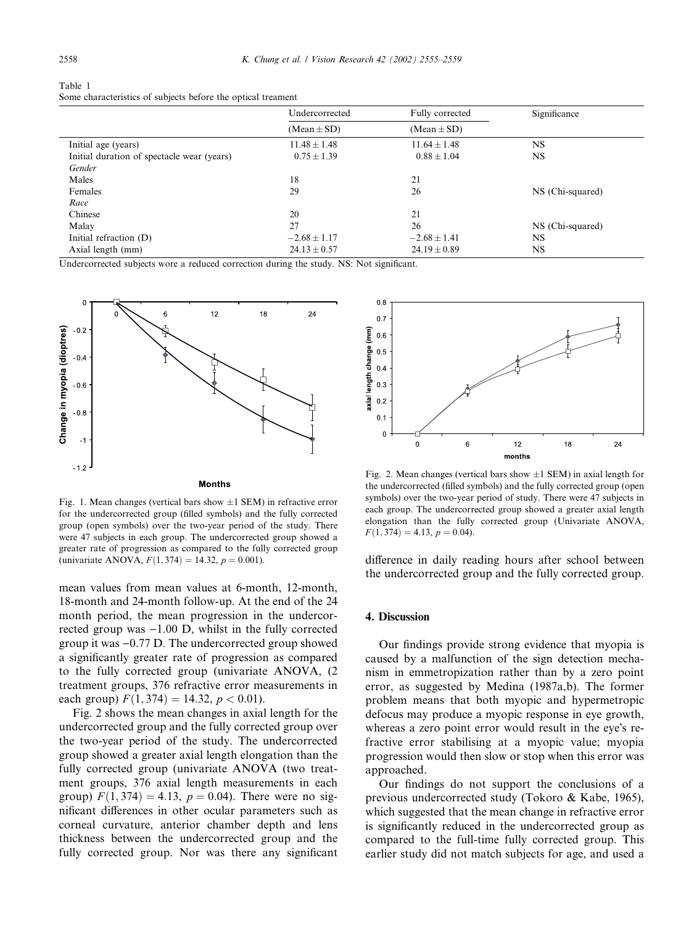| Table 1                                                      |  |  |
|--------------------------------------------------------------|--|--|
| Some characteristics of subjects before the optical treament |  |  |

|                                            | Undercorrected   | Fully corrected  | Significance     |  |
|--------------------------------------------|------------------|------------------|------------------|--|
|                                            | $(Mean \pm SD)$  | $(Mean \pm SD)$  |                  |  |
| Initial age (years)                        | $11.48 \pm 1.48$ | $11.64 \pm 1.48$ | NS               |  |
| Initial duration of spectacle wear (years) | $0.75 \pm 1.39$  | $0.88 \pm 1.04$  | NS               |  |
| Gender                                     |                  |                  |                  |  |
| Males                                      | 18               | 21               |                  |  |
| Females                                    | 29               | 26               | NS (Chi-squared) |  |
| Race                                       |                  |                  |                  |  |
| Chinese                                    | 20               | 21               |                  |  |
| Malay                                      | 27               | 26               | NS (Chi-squared) |  |
| Initial refraction (D)                     | $-2.68 \pm 1.17$ | $-2.68 \pm 1.41$ | NS               |  |
| Axial length (mm)                          | $24.13 \pm 0.57$ | $24.19 \pm 0.89$ | NS               |  |

Undercorrected subjects wore a reduced correction during the study. NS: Not significant.



Fig. 1. Mean changes (vertical bars show  $\pm 1$  SEM) in refractive error for the undercorrected group (filled symbols) and the fully corrected group (open symbols) over the two-year period of the study. There were 47 subjects in each group. The undercorrected group showed a greater rate of progression as compared to the fully corrected group (univariate ANOVA,  $F(1, 374) = 14.32$ ,  $p = 0.001$ ).

mean values from mean values at 6-month, 12-month, 18-month and 24-month follow-up. At the end of the 24 month period, the mean progression in the undercorrected group was  $-1.00$  D, whilst in the fully corrected group it was  $-0.77$  D. The undercorrected group showed a significantly greater rate of progression as compared to the fully corrected group (univariate ANOVA, (2 treatment groups, 376 refractive error measurements in each group)  $F(1, 374) = 14.32, p < 0.01$ .

Fig. 2 shows the mean changes in axial length for the undercorrected group and the fully corrected group over the two-year period of the study. The undercorrected group showed a greater axial length elongation than the fully corrected group (univariate ANOVA (two treatment groups, 376 axial length measurements in each group)  $F(1, 374) = 4.13$ ,  $p = 0.04$ ). There were no significant differences in other ocular parameters such as corneal curvature, anterior chamber depth and lens thickness between the undercorrected group and the fully corrected group. Nor was there any significant



Fig. 2. Mean changes (vertical bars show  $\pm 1$  SEM) in axial length for the undercorrected (filled symbols) and the fully corrected group (open symbols) over the two-year period of study. There were 47 subjects in each group. The undercorrected group showed a greater axial length elongation than the fully corrected group (Univariate ANOVA,  $F(1, 374) = 4.13, p = 0.04$ .

difference in daily reading hours after school between the undercorrected group and the fully corrected group.

#### 4. Discussion

Our findings provide strong evidence that myopia is caused by a malfunction of the sign detection mechanism in emmetropization rather than by a zero point error, as suggested by Medina (1987a,b). The former problem means that both myopic and hypermetropic defocus may produce a myopic response in eye growth, whereas a zero point error would result in the eye's refractive error stabilising at a myopic value; myopia progression would then slow or stop when this error was approached.

Our findings do not support the conclusions of a previous undercorrected study (Tokoro & Kabe, 1965), which suggested that the mean change in refractive error is significantly reduced in the undercorrected group as compared to the full-time fully corrected group. This earlier study did not match subjects for age, and used a